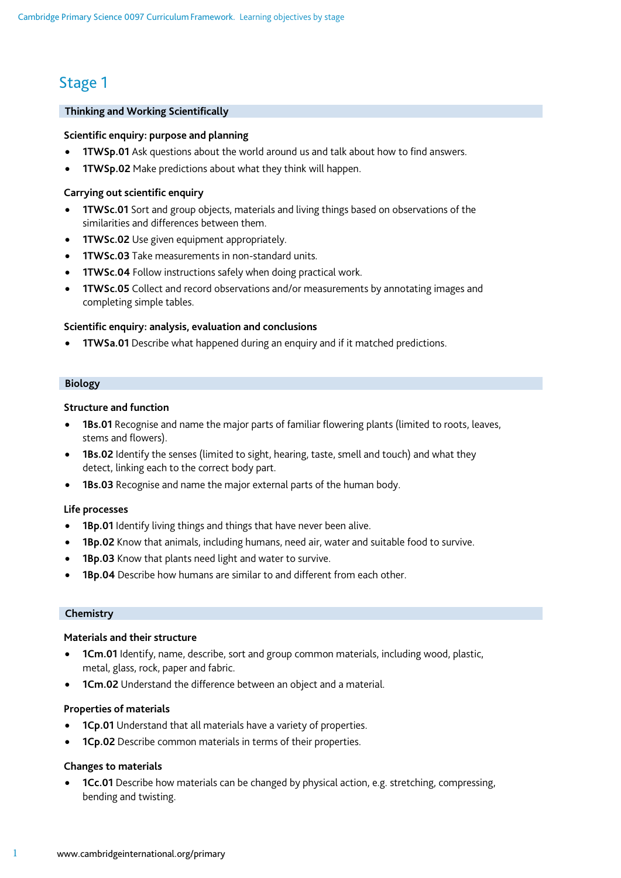# Stage 1

# **Thinking and Working Scientifically**

#### **Scientific enquiry: purpose and planning**

- **1TWSp.01** Ask questions about the world around us and talk about how to find answers.
- **1TWSp.02** Make predictions about what they think will happen.

#### **Carrying out scientific enquiry**

- **1TWSc.01** Sort and group objects, materials and living things based on observations of the similarities and differences between them.
- **1TWSc.02** Use given equipment appropriately.
- **1TWSc.03** Take measurements in non-standard units.
- **1TWSc.04** Follow instructions safely when doing practical work.
- **1TWSc.05** Collect and record observations and/or measurements by annotating images and completing simple tables.

#### **Scientific enquiry: analysis, evaluation and conclusions**

• **1TWSa.01** Describe what happened during an enquiry and if it matched predictions.

#### **Biology**

## **Structure and function**

- **1Bs.01** Recognise and name the major parts of familiar flowering plants (limited to roots, leaves, stems and flowers).
- **1Bs.02** Identify the senses (limited to sight, hearing, taste, smell and touch) and what they detect, linking each to the correct body part.
- **1Bs.03** Recognise and name the major external parts of the human body.

#### **Life processes**

- **1Bp.01** Identify living things and things that have never been alive.
- **1Bp.02** Know that animals, including humans, need air, water and suitable food to survive.
- **1Bp.03** Know that plants need light and water to survive.
- **1Bp.04** Describe how humans are similar to and different from each other.

#### **Chemistry**

#### **Materials and their structure**

- **1Cm.01** Identify, name, describe, sort and group common materials, including wood, plastic, metal, glass, rock, paper and fabric.
- **1Cm.02** Understand the difference between an object and a material.

#### **Properties of materials**

- **1Cp.01** Understand that all materials have a variety of properties.
- **1Cp.02** Describe common materials in terms of their properties.

## **Changes to materials**

• **1Cc.01** Describe how materials can be changed by physical action, e.g. stretching, compressing, bending and twisting.